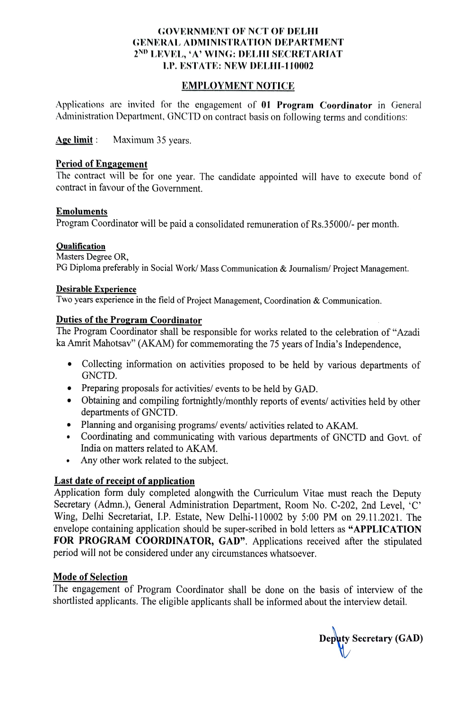# GOVERNMENT OF NCT OF DELHI GENERAL ADMINISTRATION DEPARTMENT 2<sup>ND</sup> LEVEL, 'A' WING: DELHI SECRETARIAT I.P. ESTATE: NEW DELHI-110002

### EMPLOYMENT NOTICE

Applications are invited for the engagement of 01 Program Coordinator in General Administration Department, GNCTD on contract basis on following terms and conditions:

Age limit: Maximum 35 years.

## Period of Engagement

The contract will be for one year. The candidate appointed will have to execute bond of contract in favour of the Government.

#### Emoluments

Program Coordinator will be paid a consolidated remuneration of Rs.35000/- per month.

### Qualification

Masters Degree OR, PG Diploma preferably in Social Work/ Mass Communication & Journalism/ Project Management.

Desirable Experience<br>Two years experience in the field of Project Management, Coordination & Communication.

### Duties of the Program Coordinator

The Program Coordinator shall be responsible for works related to the celebration of "Azadi ka Amrit Mahotsav" (AKAM) for commemorating the 75 years of India's Independence,

- Collecting information on activities proposed to be held by various departments of GNCTD
- Preparing proposals for activities/ events to be held by GAD.
- Obtaining and compiling fortnightly/monthly reports of events/ activities held by other departments of GNCTD.
- Planning and organising programs/ events/ activities related to AKAM.
- Coordinating and communicating with various departments of GNCTD and Govt. of India on matters related to AKAM.
- Any other work related to the subject.  $\bullet$

Last date of receipt of application<br>Application form duly completed alongwith the Curriculum Vitae must reach the Deputy Secretary (Admn.), General Administration Department, Room No. C-202, 2nd Level, 'C' Wing. Delhi Secretariat, LP. Estate, New Delhi-110002 by 5:00 PM on 29.11.2021. The envelope containing application should be super-scribed in bold letters as "APPLICATION FOR PROGRAM COORDINATOR, GAD". Applications received after the stipulated period will not be considered under any circumstances whatsoever.

# Mode of Selection

The engagement of Program Coordinator shall be done on the basis of interview of the shortlisted applicants. The eligible applicants shall be informed about the interview detail